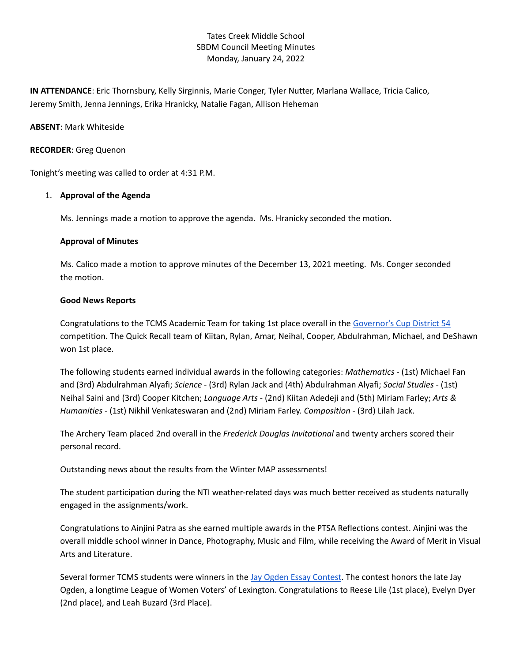# Tates Creek Middle School SBDM Council Meeting Minutes Monday, January 24, 2022

**IN ATTENDANCE**: Eric Thornsbury, Kelly Sirginnis, Marie Conger, Tyler Nutter, Marlana Wallace, Tricia Calico, Jeremy Smith, Jenna Jennings, Erika Hranicky, Natalie Fagan, Allison Heheman

#### **ABSENT**: Mark Whiteside

#### **RECORDER**: Greg Quenon

Tonight's meeting was called to order at 4:31 P.M.

#### 1. **Approval of the Agenda**

Ms. Jennings made a motion to approve the agenda. Ms. Hranicky seconded the motion.

#### **Approval of Minutes**

Ms. Calico made a motion to approve minutes of the December 13, 2021 meeting. Ms. Conger seconded the motion.

#### **Good News Reports**

Congratulations to the TCMS Academic Team for taking 1st place overall in the [Governor's](http://my.kaac.com/ASAP/Results/MiddleGrades/District/54/Year/2022) Cup District 54 competition. The Quick Recall team of Kiitan, Rylan, Amar, Neihal, Cooper, Abdulrahman, Michael, and DeShawn won 1st place.

The following students earned individual awards in the following categories: *Mathematics* - (1st) Michael Fan and (3rd) Abdulrahman Alyafi; *Science* - (3rd) Rylan Jack and (4th) Abdulrahman Alyafi; *Social Studies* - (1st) Neihal Saini and (3rd) Cooper Kitchen; *Language Arts* - (2nd) Kiitan Adedeji and (5th) Miriam Farley; *Arts & Humanities* - (1st) Nikhil Venkateswaran and (2nd) Miriam Farley. *Composition* - (3rd) Lilah Jack.

The Archery Team placed 2nd overall in the *Frederick Douglas Invitational* and twenty archers scored their personal record.

Outstanding news about the results from the Winter MAP assessments!

The student participation during the NTI weather-related days was much better received as students naturally engaged in the assignments/work.

Congratulations to Ainjini Patra as she earned multiple awards in the PTSA Reflections contest. Ainjini was the overall middle school winner in Dance, Photography, Music and Film, while receiving the Award of Merit in Visual Arts and Literature.

Several former TCMS students were winners in the Jay Ogden Essay [Contest](https://www.lwvlexington.com/essay-contest-2021). The contest honors the late Jay Ogden, a longtime League of Women Voters' of Lexington. Congratulations to Reese Lile (1st place), Evelyn Dyer (2nd place), and Leah Buzard (3rd Place).